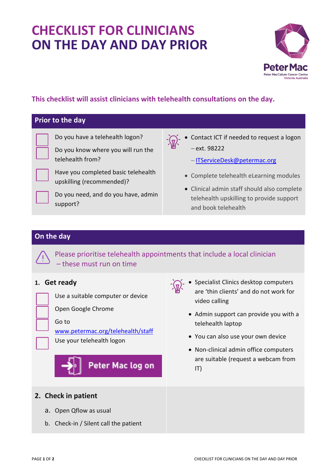# **CHECKLIST FOR CLINICIANS ON THE DAY AND DAY PRIOR**



### **This checklist will assist clinicians with telehealth consultations on the day.**

#### **Prior to the day**

Do you have a telehealth logon?

Do you know where you will run the telehealth from?

Have you completed basic telehealth

Do you need, and do you have, admin

upskilling (recommended)?



 Contact ICT if needed to request a logon ext. 98222

-[ITServiceDesk@petermac.org](mailto:ITServiceDesk@petermac.org)

- Complete telehealth eLearning modules
- Clinical admin staff should also complete telehealth upskilling to provide support and book telehealth

#### **On the day**

support?

Please prioritise telehealth appointments that include a local clinician – these must run on time

#### **1. Get ready**



Use a suitable computer or device

Open Google Chrome

#### Go to

[www.petermac.org/telehealth/staff](http://www.petermac.org/telehealth/staff)

Use your telehealth logon

Peter Mac log on

## **2. Check in patient**

- a. Open Qflow as usual
- b. Check-in / Silent call the patient
- **Specialist Clinics desktop computers** are 'thin clients' and do not work for video calling
	- Admin support can provide you with a telehealth laptop
	- You can also use your own device
	- Non-clinical admin office computers are suitable (request a webcam from IT)